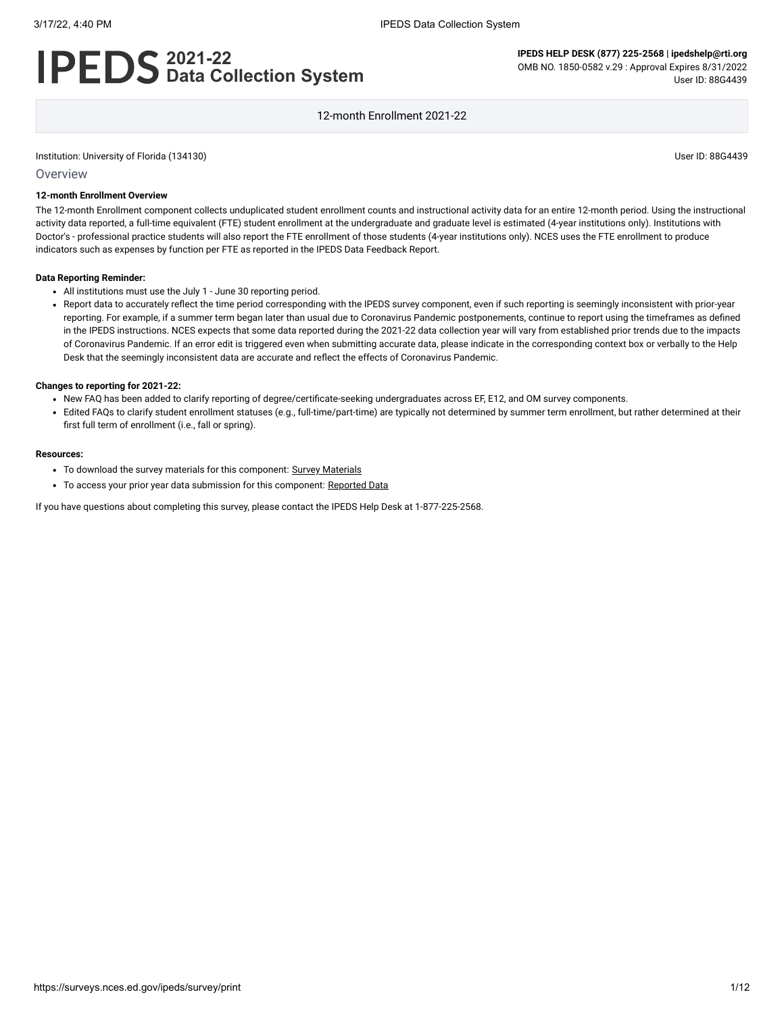# **2021-22 Data Collection System**

**IPEDS HELP DESK (877) 225-2568 | ipedshelp@rti.org** OMB NO. 1850-0582 v.29 : Approval Expires 8/31/2022 User ID: 88G4439

12-month Enrollment 2021-22

Institution: University of Florida (134130) User ID: 88G4439

#### **Overview**

## **12-month Enrollment Overview**

The 12-month Enrollment component collects unduplicated student enrollment counts and instructional activity data for an entire 12-month period. Using the instructional activity data reported, a full-time equivalent (FTE) student enrollment at the undergraduate and graduate level is estimated (4-year institutions only). Institutions with Doctor's - professional practice students will also report the FTE enrollment of those students (4-year institutions only). NCES uses the FTE enrollment to produce indicators such as expenses by function per FTE as reported in the IPEDS Data Feedback Report.

#### **Data Reporting Reminder:**

- All institutions must use the July 1 June 30 reporting period.
- Report data to accurately reflect the time period corresponding with the IPEDS survey component, even if such reporting is seemingly inconsistent with prior-year reporting. For example, if a summer term began later than usual due to Coronavirus Pandemic postponements, continue to report using the timeframes as defined in the IPEDS instructions. NCES expects that some data reported during the 2021-22 data collection year will vary from established prior trends due to the impacts of Coronavirus Pandemic. If an error edit is triggered even when submitting accurate data, please indicate in the corresponding context box or verbally to the Help Desk that the seemingly inconsistent data are accurate and reflect the effects of Coronavirus Pandemic.

#### **Changes to reporting for 2021-22:**

- New FAQ has been added to clarify reporting of degree/certificate-seeking undergraduates across EF, E12, and OM survey components.
- Edited FAQs to clarify student enrollment statuses (e.g., full-time/part-time) are typically not determined by summer term enrollment, but rather determined at their first full term of enrollment (i.e., fall or spring).

#### **Resources:**

- To download the survey materials for this component: Survey [Materials](https://surveys.nces.ed.gov/ipeds/public/survey-materials/index)
- To access your prior year data submission for this component: [Reported Data](javascript:openReportedData(134130, 9))

If you have questions about completing this survey, please contact the IPEDS Help Desk at 1-877-225-2568.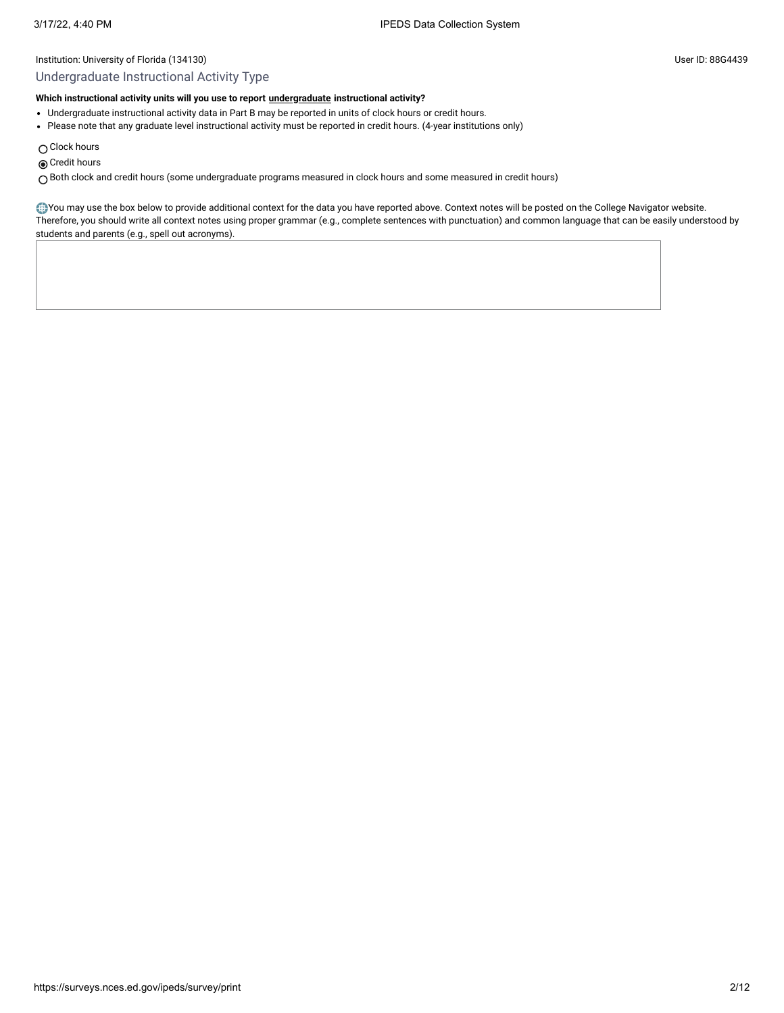## Undergraduate Instructional Activity Type

## **Which instructional activity units will you use to report [undergraduate](javascript:openglossary(677)) instructional activity?**

- Undergraduate instructional activity data in Part B may be reported in units of clock hours or credit hours.
- Please note that any graduate level instructional activity must be reported in credit hours. (4-year institutions only)
- $\bigcirc$  Clock hours
- **◎** Credit hours

Both clock and credit hours (some undergraduate programs measured in clock hours and some measured in credit hours)

You may use the box below to provide additional context for the data you have reported above. Context notes will be posted on the College Navigator website. Therefore, you should write all context notes using proper grammar (e.g., complete sentences with punctuation) and common language that can be easily understood by students and parents (e.g., spell out acronyms).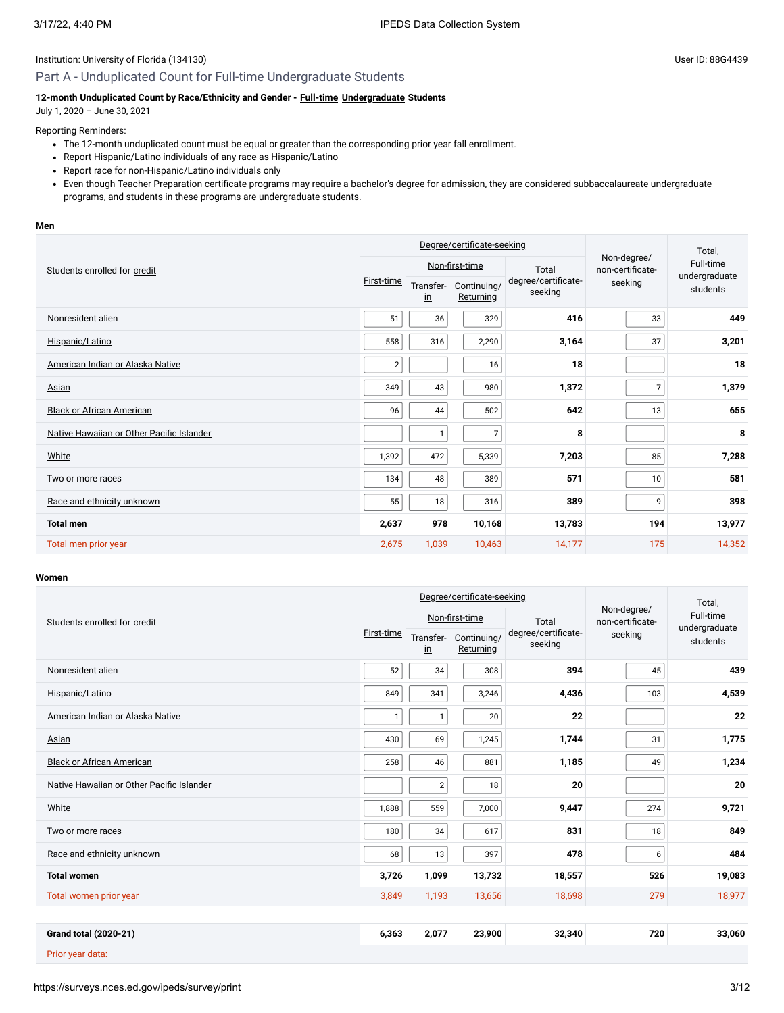## Part A - Unduplicated Count for Full-time Undergraduate Students

## **12-month Unduplicated Count by Race/Ethnicity and Gender - [Full-time](javascript:openglossary(259)) [Undergraduate](javascript:openglossary(677)) Students**

July 1, 2020 – June 30, 2021

## Reporting Reminders:

- The 12-month unduplicated count must be equal or greater than the corresponding prior year fall enrollment.
- Report Hispanic/Latino individuals of any race as Hispanic/Latino
- Report race for non-Hispanic/Latino individuals only
- Even though Teacher Preparation certificate programs may require a bachelor's degree for admission, they are considered subbaccalaureate undergraduate programs, and students in these programs are undergraduate students.

#### **Men**

|                                           | Degree/certificate-seeking |                            |                          |                                |                                 | Total,                     |  |
|-------------------------------------------|----------------------------|----------------------------|--------------------------|--------------------------------|---------------------------------|----------------------------|--|
| Students enrolled for credit              |                            | Non-first-time             |                          | Total                          | Non-degree/<br>non-certificate- | Full-time<br>undergraduate |  |
|                                           | First-time                 | Transfer-<br>$\mathbf{in}$ | Continuing/<br>Returning | degree/certificate-<br>seeking | seeking                         | students                   |  |
| Nonresident alien                         | 51                         | 36                         | 329                      | 416                            | 33                              | 449                        |  |
| Hispanic/Latino                           | 558                        | 316                        | 2,290                    | 3,164                          | 37                              | 3,201                      |  |
| American Indian or Alaska Native          | $\overline{2}$             |                            | 16                       | 18                             |                                 | 18                         |  |
| Asian                                     | 349                        | 43                         | 980                      | 1,372                          |                                 | 1,379                      |  |
| <b>Black or African American</b>          | 96                         | 44                         | 502                      | 642                            | 13                              | 655                        |  |
| Native Hawaiian or Other Pacific Islander |                            | $\mathbf{1}$               | $\overline{7}$           | 8                              |                                 | 8                          |  |
| White                                     | 1,392                      | 472                        | 5,339                    | 7,203                          | 85                              | 7,288                      |  |
| Two or more races                         | 134                        | 48                         | 389                      | 571                            | 10                              | 581                        |  |
| Race and ethnicity unknown                | 55                         | 18                         | 316                      | 389                            | 9                               | 398                        |  |
| <b>Total men</b>                          | 2,637                      | 978                        | 10,168                   | 13,783                         | 194                             | 13,977                     |  |
| Total men prior year                      | 2,675                      | 1,039                      | 10,463                   | 14,177                         | 175                             | 14,352                     |  |

## **Women**

|                                           |              |                            | Degree/certificate-seeking |                                | Total,                          |                            |
|-------------------------------------------|--------------|----------------------------|----------------------------|--------------------------------|---------------------------------|----------------------------|
| Students enrolled for credit              |              |                            | Non-first-time             | Total                          | Non-degree/<br>non-certificate- | Full-time<br>undergraduate |
|                                           | First-time   | Transfer-<br>$\mathbf{in}$ | Continuing/<br>Returning   | degree/certificate-<br>seeking | seeking                         | students                   |
| Nonresident alien                         | 52           | 34                         | 308                        | 394                            | 45                              | 439                        |
| Hispanic/Latino                           | 849          | 341                        | 3,246                      | 4,436                          | 103                             | 4,539                      |
| American Indian or Alaska Native          | $\mathbf{1}$ | $\mathbf{1}$               | 20                         | 22                             |                                 | 22                         |
| Asian                                     | 430          | 69                         | 1,245                      | 1,744                          | 31                              | 1,775                      |
| <b>Black or African American</b>          | 258          | 46                         | 881                        | 1,185                          | 49                              | 1,234                      |
| Native Hawaiian or Other Pacific Islander |              | $\overline{2}$             | 18                         | 20                             |                                 | 20                         |
| White                                     | 1,888        | 559                        | 7,000                      | 9,447                          | 274                             | 9,721                      |
| Two or more races                         | 180          | 34                         | 617                        | 831                            | 18                              | 849                        |
| Race and ethnicity unknown                | 68           | 13                         | 397                        | 478                            | 6                               | 484                        |
| <b>Total women</b>                        | 3,726        | 1,099                      | 13,732                     | 18,557                         | 526                             | 19,083                     |
| Total women prior year                    | 3,849        | 1,193                      | 13,656                     | 18,698                         | 279                             | 18,977                     |
|                                           |              |                            |                            |                                |                                 |                            |
| <b>Grand total (2020-21)</b>              | 6,363        | 2,077                      | 23,900                     | 32,340                         | 720                             | 33,060                     |
| Prior year data:                          |              |                            |                            |                                |                                 |                            |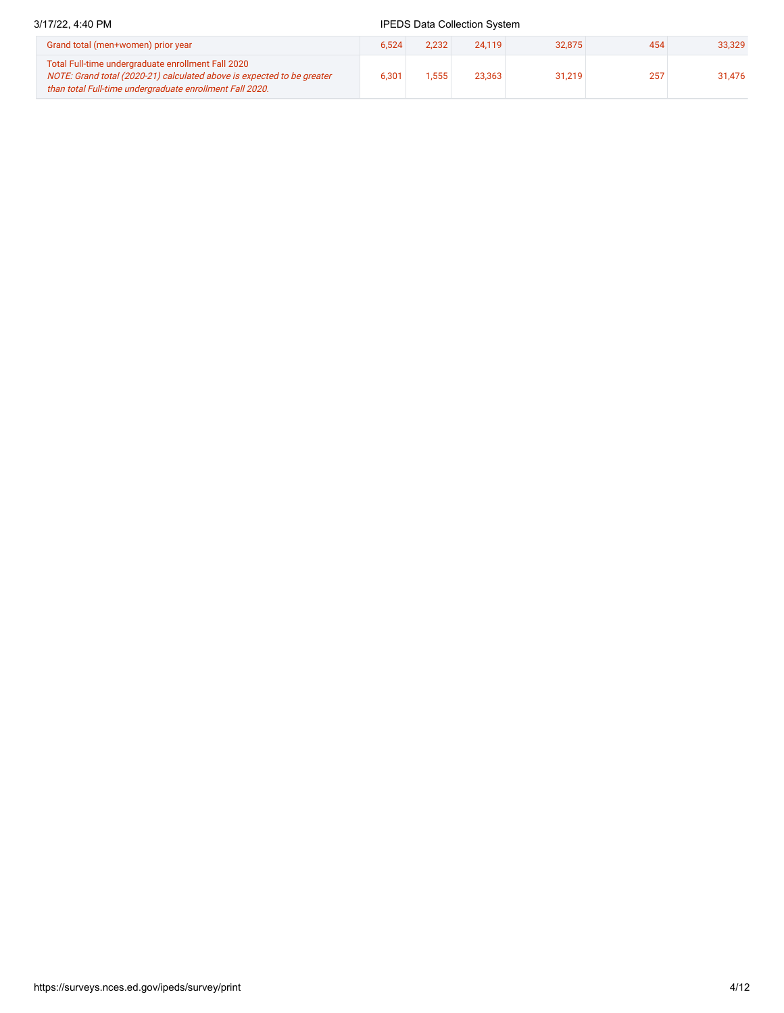## 3/17/22, 4:40 PM **IPEDS** Data Collection System Grand total (men+women) prior year 6,524 2,232 24,119 32,875 454 33,329 Total Full-time undergraduate enrollment Fall 2020 NOTE: Grand total (2020-21) calculated above is expected to be greater than total Full-time undergraduate enrollment Fall 2020. 6,301 1,555 23,363 31,219 257 31,476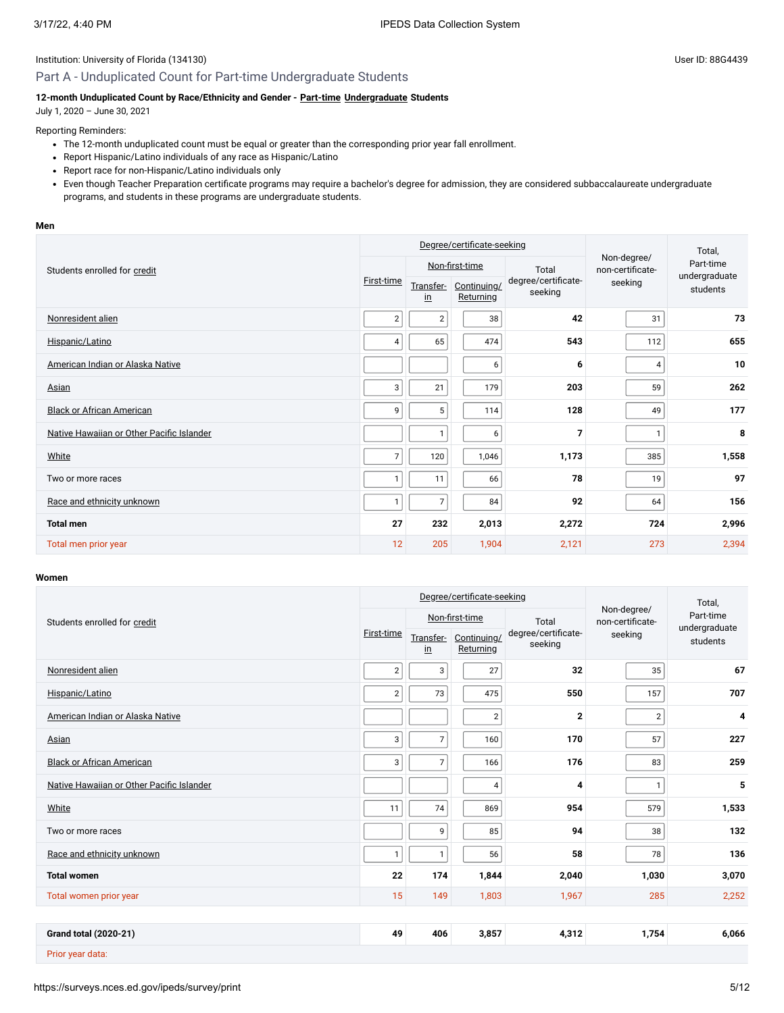## Part A - Unduplicated Count for Part-time Undergraduate Students

## **12-month Unduplicated Count by Race/Ethnicity and Gender - [Part-time](javascript:openglossary(469)) [Undergraduate](javascript:openglossary(677)) Students**

July 1, 2020 – June 30, 2021

## Reporting Reminders:

- The 12-month unduplicated count must be equal or greater than the corresponding prior year fall enrollment.
- Report Hispanic/Latino individuals of any race as Hispanic/Latino
- Report race for non-Hispanic/Latino individuals only
- Even though Teacher Preparation certificate programs may require a bachelor's degree for admission, they are considered subbaccalaureate undergraduate programs, and students in these programs are undergraduate students.

#### **Men**

|                                           | Degree/certificate-seeking |                            |                          |                                |                                 | Total,                     |  |
|-------------------------------------------|----------------------------|----------------------------|--------------------------|--------------------------------|---------------------------------|----------------------------|--|
| Students enrolled for credit              |                            |                            | Non-first-time           | Total                          | Non-degree/<br>non-certificate- | Part-time<br>undergraduate |  |
|                                           | First-time                 | Transfer-<br>$\mathbf{in}$ | Continuing/<br>Returning | degree/certificate-<br>seeking | seeking                         | students                   |  |
| Nonresident alien                         | $\overline{2}$             | $\overline{c}$             | 38                       | 42                             | 31                              | 73                         |  |
| Hispanic/Latino                           | 4                          | 65                         | 474                      | 543                            | 112                             | 655                        |  |
| American Indian or Alaska Native          |                            |                            | 6                        | 6                              | 4                               | 10                         |  |
| Asian                                     | 3                          | 21                         | 179                      | 203                            | 59                              | 262                        |  |
| <b>Black or African American</b>          | 9                          | 5                          | 114                      | 128                            | 49                              | 177                        |  |
| Native Hawaiian or Other Pacific Islander |                            | $\mathbf{1}$               | 6                        | $\overline{7}$                 | $\mathbf{1}$                    | 8                          |  |
| White                                     | 7                          | 120                        | 1,046                    | 1,173                          | 385                             | 1,558                      |  |
| Two or more races                         |                            | 11                         | 66                       | 78                             | 19                              | 97                         |  |
| Race and ethnicity unknown                |                            | $\overline{7}$             | 84                       | 92                             | 64                              | 156                        |  |
| <b>Total men</b>                          | 27                         | 232                        | 2,013                    | 2,272                          | 724                             | 2,996                      |  |
| Total men prior year                      | 12                         | 205                        | 1,904                    | 2,121                          | 273                             | 2,394                      |  |

## **Women**

|                                           |                |                            | Degree/certificate-seeking |                                | Total,                          |                                        |
|-------------------------------------------|----------------|----------------------------|----------------------------|--------------------------------|---------------------------------|----------------------------------------|
| Students enrolled for credit              |                |                            | Non-first-time             | Total                          | Non-degree/<br>non-certificate- | Part-time<br>undergraduate<br>students |
|                                           | First-time     | Transfer-<br>$\mathsf{in}$ | Continuing/<br>Returning   | degree/certificate-<br>seeking | seeking                         |                                        |
| Nonresident alien                         | $\overline{2}$ | 3                          | 27                         | 32                             | 35                              | 67                                     |
| Hispanic/Latino                           | $\overline{2}$ | 73                         | 475                        | 550                            | 157                             | 707                                    |
| American Indian or Alaska Native          |                |                            | $\overline{\mathbf{c}}$    | $\mathbf{2}$                   | $\overline{2}$                  | 4                                      |
| Asian                                     | 3              | $\overline{7}$             | 160                        | 170                            | 57                              | 227                                    |
| <b>Black or African American</b>          | 3              | $\overline{7}$             | 166                        | 176                            | 83                              | 259                                    |
| Native Hawaiian or Other Pacific Islander |                |                            | 4                          | 4                              | $\mathbf{1}$                    | 5                                      |
| White                                     | 11             | 74                         | 869                        | 954                            | 579                             | 1,533                                  |
| Two or more races                         |                | 9                          | 85                         | 94                             | 38                              | 132                                    |
| Race and ethnicity unknown                | 1              | $\mathbf{1}$               | 56                         | 58                             | 78                              | 136                                    |
| <b>Total women</b>                        | 22             | 174                        | 1,844                      | 2,040                          | 1,030                           | 3,070                                  |
| Total women prior year                    | 15             | 149                        | 1,803                      | 1,967                          | 285                             | 2,252                                  |
|                                           |                |                            |                            |                                |                                 |                                        |
| <b>Grand total (2020-21)</b>              | 49             | 406                        | 3,857                      | 4,312                          | 1,754                           | 6,066                                  |
| Prior year data:                          |                |                            |                            |                                |                                 |                                        |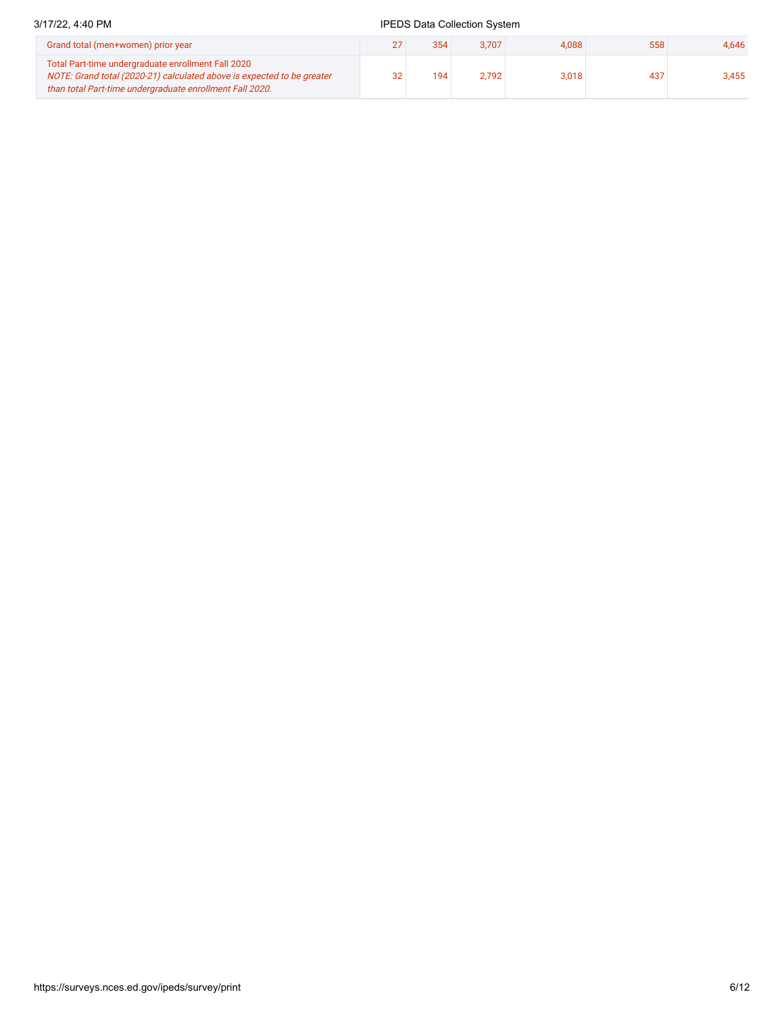## 3/17/22, 4:40 PM **IPEDS** Data Collection System

| Grand total (men+women) prior year                                                                                                                                                       |    | 354 | 3.707     | 4.088 | 558 | 4.646 |
|------------------------------------------------------------------------------------------------------------------------------------------------------------------------------------------|----|-----|-----------|-------|-----|-------|
| Total Part-time undergraduate enrollment Fall 2020<br>NOTE: Grand total (2020-21) calculated above is expected to be greater<br>than total Part-time undergraduate enrollment Fall 2020. | 32 | 194 | $2.792 +$ | 3,018 | 437 | 3.455 |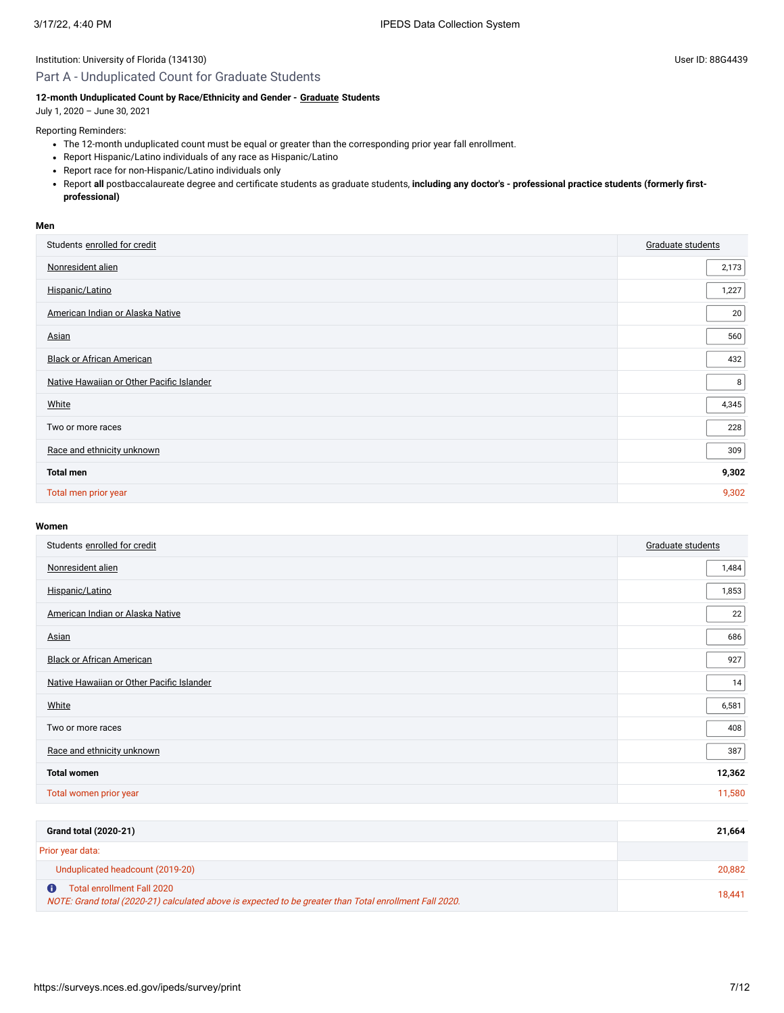## Part A - Unduplicated Count for Graduate Students

## **12-month Unduplicated Count by Race/Ethnicity and Gender - [Graduate](javascript:openglossary(275)) Students**

July 1, 2020 – June 30, 2021

Reporting Reminders:

- The 12-month unduplicated count must be equal or greater than the corresponding prior year fall enrollment.
- Report Hispanic/Latino individuals of any race as Hispanic/Latino
- Report race for non-Hispanic/Latino individuals only
- Report **all** postbaccalaureate degree and certificate students as graduate students, **including any doctor's professional practice students (formerly firstprofessional)**

#### **Men**

| Students enrolled for credit              | Graduate students |
|-------------------------------------------|-------------------|
| Nonresident alien                         | 2,173             |
| Hispanic/Latino                           | 1,227             |
| American Indian or Alaska Native          | 20                |
| Asian                                     | 560               |
| <b>Black or African American</b>          | 432               |
| Native Hawaiian or Other Pacific Islander | 8                 |
| White                                     | 4,345             |
| Two or more races                         | 228               |
| Race and ethnicity unknown                | 309               |
| <b>Total men</b>                          | 9,302             |
| Total men prior year                      | 9,302             |

## **Women**

| Students enrolled for credit              | Graduate students |
|-------------------------------------------|-------------------|
| Nonresident alien                         | 1,484             |
| Hispanic/Latino                           | 1,853             |
| American Indian or Alaska Native          | 22                |
| Asian                                     | 686               |
| <b>Black or African American</b>          | 927               |
| Native Hawaiian or Other Pacific Islander | 14                |
| White                                     | 6,581             |
| Two or more races                         | 408               |
| Race and ethnicity unknown                | 387               |
| <b>Total women</b>                        | 12,362            |
| Total women prior year                    | 11,580            |
|                                           |                   |

| <b>Grand total (2020-21)</b>                                                                                                          | 21.664 |
|---------------------------------------------------------------------------------------------------------------------------------------|--------|
| Prior year data:                                                                                                                      |        |
| Unduplicated headcount (2019-20)                                                                                                      | 20.882 |
| Total enrollment Fall 2020<br>NOTE: Grand total (2020-21) calculated above is expected to be greater than Total enrollment Fall 2020. | 18.441 |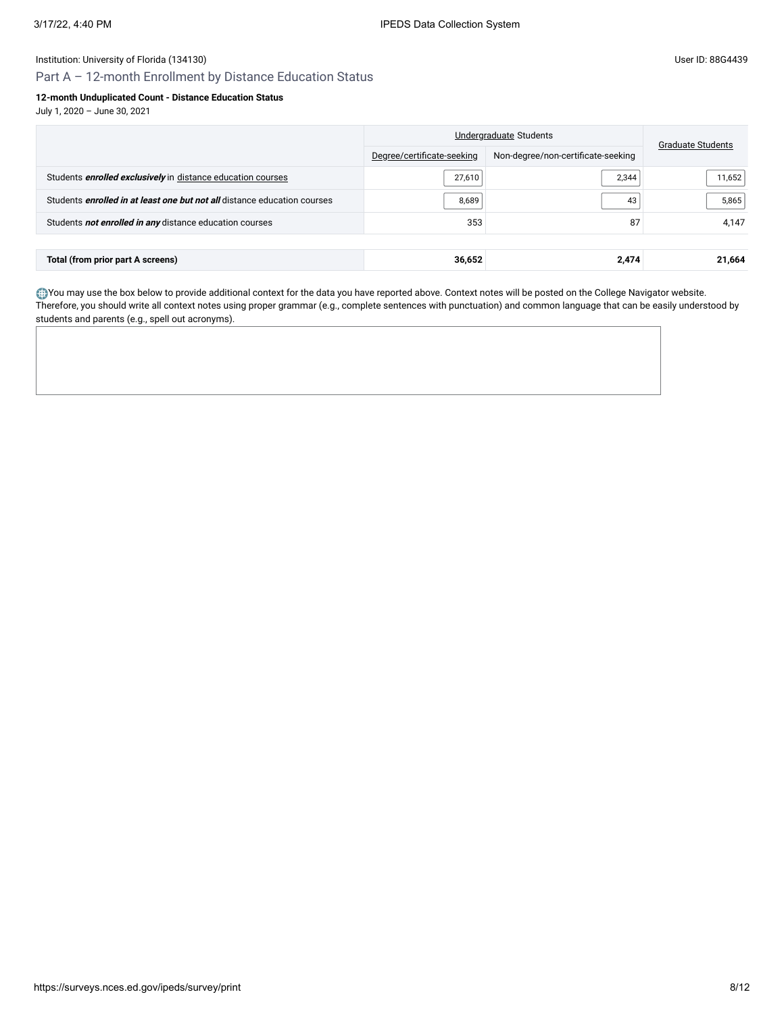Part A – 12-month Enrollment by Distance Education Status

## **12-month Unduplicated Count - Distance Education Status**

July 1, 2020 – June 30, 2021

|                                                                                 | Undergraduate Students     | <b>Graduate Students</b>           |        |
|---------------------------------------------------------------------------------|----------------------------|------------------------------------|--------|
|                                                                                 | Degree/certificate-seeking | Non-degree/non-certificate-seeking |        |
| Students <i>enrolled exclusively</i> in distance education courses              | 27,610                     | 2,344                              | 11,652 |
| Students <i>enrolled in at least one but not all</i> distance education courses | 8,689                      | 43                                 | 5,865  |
| Students not enrolled in any distance education courses                         | 353                        | 87                                 | 4,147  |
|                                                                                 |                            |                                    |        |
| Total (from prior part A screens)                                               | 36,652                     | 2,474                              | 21,664 |

You may use the box below to provide additional context for the data you have reported above. Context notes will be posted on the College Navigator website. Therefore, you should write all context notes using proper grammar (e.g., complete sentences with punctuation) and common language that can be easily understood by students and parents (e.g., spell out acronyms).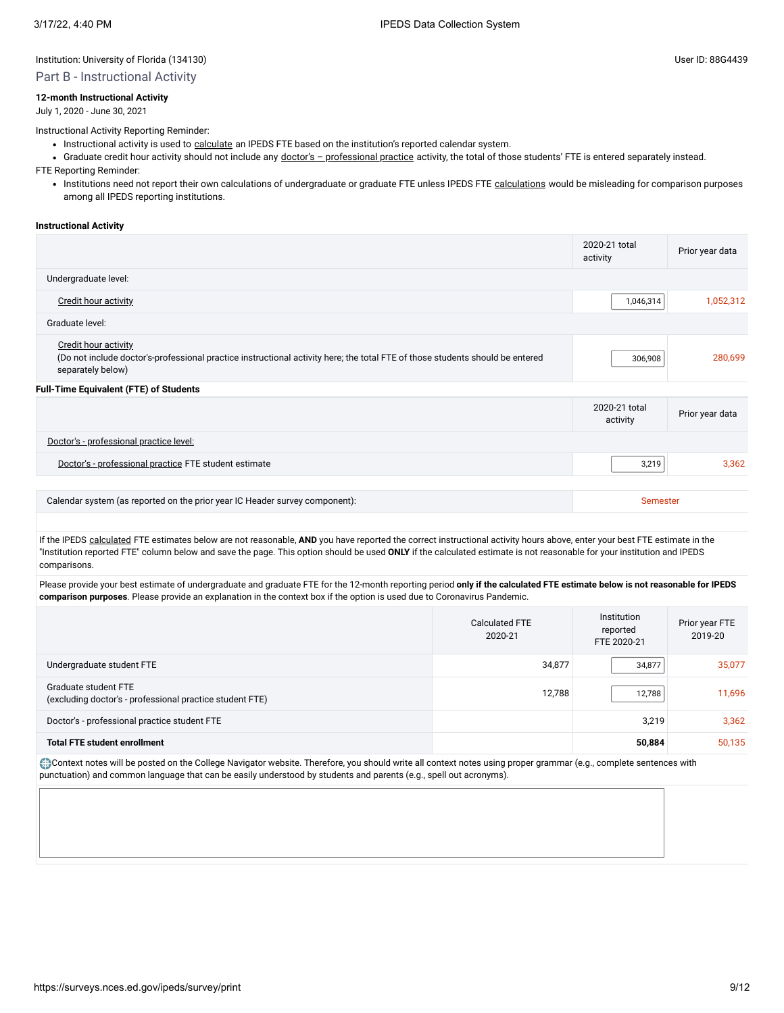## Part B - Instructional Activity

## **12-month Instructional Activity**

July 1, 2020 - June 30, 2021

Instructional Activity Reporting Reminder:

- Instructional activity is used to [calculate](javascript:openglossary(853)) an IPEDS FTE based on the institution's reported calendar system.
- Graduate credit hour activity should not include any doctor's [professional](javascript:openglossary(942)) practice activity, the total of those students' FTE is entered separately instead.

FTE Reporting Reminder:

• Institutions need not report their own [calculations](javascript:openglossary(853)) of undergraduate or graduate FTE unless IPEDS FTE calculations would be misleading for comparison purposes among all IPEDS reporting institutions.

#### **Instructional Activity**

|                                                                                                                                                                                   | 2020-21 total<br>activity | Prior year data |
|-----------------------------------------------------------------------------------------------------------------------------------------------------------------------------------|---------------------------|-----------------|
| Undergraduate level:                                                                                                                                                              |                           |                 |
| <b>Credit hour activity</b>                                                                                                                                                       | 1,046,314                 | 1,052,312       |
| Graduate level:                                                                                                                                                                   |                           |                 |
| <b>Credit hour activity</b><br>(Do not include doctor's-professional practice instructional activity here; the total FTE of those students should be entered<br>separately below) | 306,908                   | 280,699         |
| <b>Full-Time Equivalent (FTE) of Students</b>                                                                                                                                     |                           |                 |
|                                                                                                                                                                                   | 2020-21 total<br>activity | Prior year data |
| Doctor's - professional practice level:                                                                                                                                           |                           |                 |
| Doctor's - professional practice FTE student estimate                                                                                                                             | 3,219                     | 3,362           |
|                                                                                                                                                                                   |                           |                 |
| Calendar system (as reported on the prior year IC Header survey component):                                                                                                       | Semester                  |                 |

If the IPEDS [calculated](javascript:openglossary(853)) FTE estimates below are not reasonable, AND you have reported the correct instructional activity hours above, enter your best FTE estimate in the "Institution reported FTE" column below and save the page. This option should be used **ONLY** if the calculated estimate is not reasonable for your institution and IPEDS comparisons.

Please provide your best estimate of undergraduate and graduate FTE for the 12-month reporting period **only if the calculated FTE estimate below is not reasonable for IPEDS comparison purposes**. Please provide an explanation in the context box if the option is used due to Coronavirus Pandemic.

|                                                                                  | <b>Calculated FTE</b><br>2020-21 | Institution<br>reported<br>FTE 2020-21 | Prior year FTE<br>2019-20 |
|----------------------------------------------------------------------------------|----------------------------------|----------------------------------------|---------------------------|
| Undergraduate student FTE                                                        | 34,877                           | 34,877                                 | 35,077                    |
| Graduate student FTE<br>(excluding doctor's - professional practice student FTE) | 12.788                           | 12,788                                 | 11,696                    |
| Doctor's - professional practice student FTE                                     |                                  | 3,219                                  | 3,362                     |
| <b>Total FTE student enrollment</b>                                              |                                  | 50,884                                 | 50,135                    |

Context notes will be posted on the College Navigator website. Therefore, you should write all context notes using proper grammar (e.g., complete sentences with punctuation) and common language that can be easily understood by students and parents (e.g., spell out acronyms).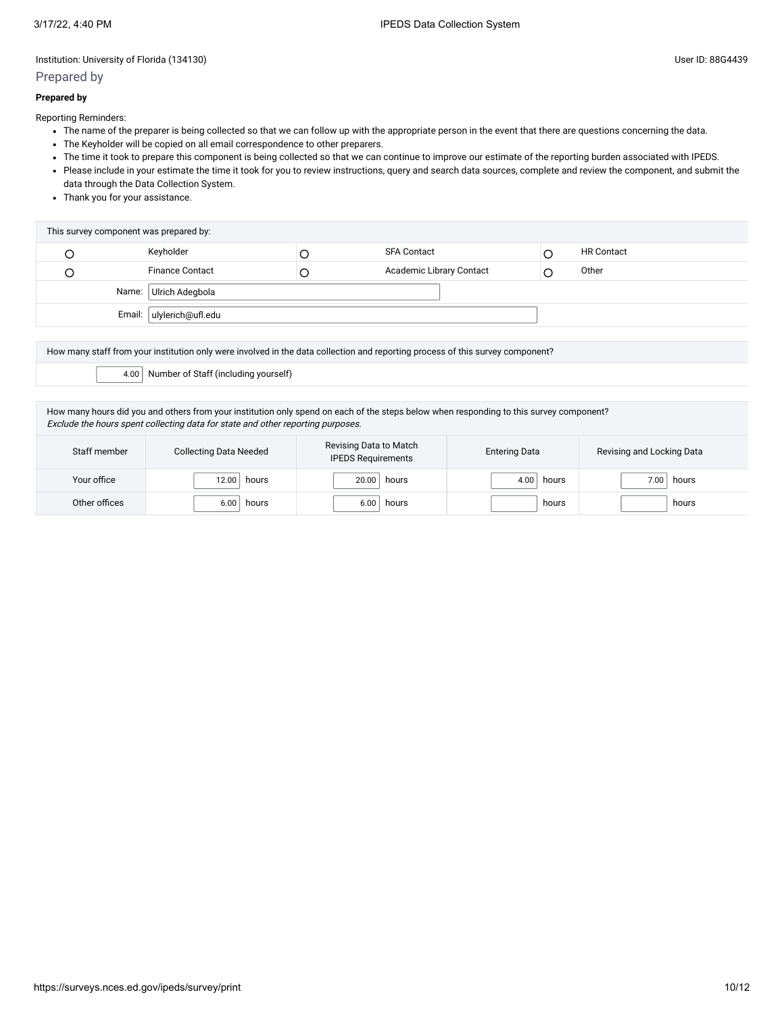## Prepared by

## **Prepared by**

Reporting Reminders:

- The name of the preparer is being collected so that we can follow up with the appropriate person in the event that there are questions concerning the data.
- The Keyholder will be copied on all email correspondence to other preparers.
- The time it took to prepare this component is being collected so that we can continue to improve our estimate of the reporting burden associated with IPEDS.
- Please include in your estimate the time it took for you to review instructions, query and search data sources, complete and review the component, and submit the data through the Data Collection System.
- Thank you for your assistance.

| This survey component was prepared by: |   |                          |                   |
|----------------------------------------|---|--------------------------|-------------------|
| Keyholder                              |   | <b>SFA Contact</b>       | <b>HR Contact</b> |
| <b>Finance Contact</b>                 | Ć | Academic Library Contact | Other             |
| Name: Ulrich Adegbola                  |   |                          |                   |
| Email:   ulylerich@ufl.edu             |   |                          |                   |

How many staff from your institution only were involved in the data collection and reporting process of this survey component? 4.00 Number of Staff (including yourself)

How many hours did you and others from your institution only spend on each of the steps below when responding to this survey component? Exclude the hours spent collecting data for state and other reporting purposes.

| Staff member  | <b>Collecting Data Needed</b> | Revising Data to Match<br><b>IPEDS Requirements</b> | <b>Entering Data</b> | Revising and Locking Data |
|---------------|-------------------------------|-----------------------------------------------------|----------------------|---------------------------|
| Your office   | 12.00<br>hours                | hours<br>20.00                                      | hours<br>4.00        | hours<br>7.00             |
| Other offices | 6.00<br>hours                 | hours<br>6.00                                       | hours                | hours                     |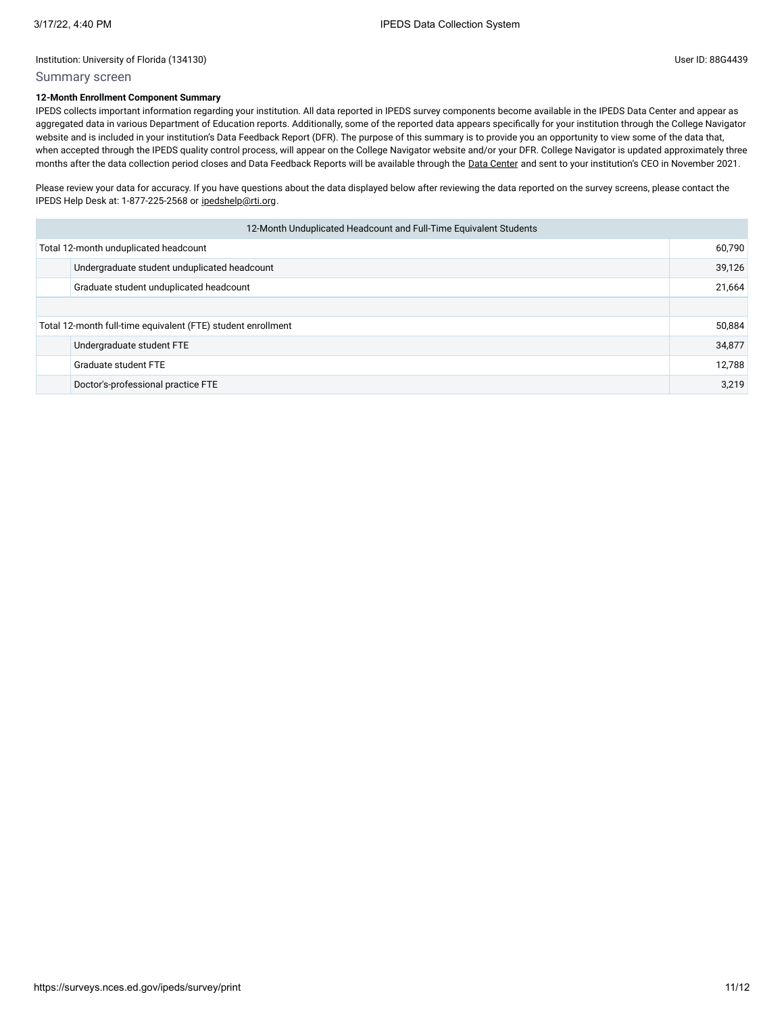## Summary screen

## **12-Month Enrollment Component Summary**

IPEDS collects important information regarding your institution. All data reported in IPEDS survey components become available in the IPEDS Data Center and appear as aggregated data in various Department of Education reports. Additionally, some of the reported data appears specifically for your institution through the College Navigator website and is included in your institution's Data Feedback Report (DFR). The purpose of this summary is to provide you an opportunity to view some of the data that, when accepted through the IPEDS quality control process, will appear on the College Navigator website and/or your DFR. College Navigator is updated approximately three months after the data collection period closes and Data Feedback Reports will be available through the Data [Center](https://nces.ed.gov/ipeds/use-the-data) and sent to your institution's CEO in November 2021.

Please review your data for accuracy. If you have questions about the data displayed below after reviewing the data reported on the survey screens, please contact the IPEDS Help Desk at: 1-877-225-2568 or [ipedshelp@rti.org.](mailto:ipedshelp@rti.org)

| 12-Month Unduplicated Headcount and Full-Time Equivalent Students |                                              |        |  |
|-------------------------------------------------------------------|----------------------------------------------|--------|--|
| Total 12-month unduplicated headcount                             |                                              | 60,790 |  |
|                                                                   | Undergraduate student unduplicated headcount | 39,126 |  |
|                                                                   | Graduate student unduplicated headcount      |        |  |
|                                                                   |                                              |        |  |
| Total 12-month full-time equivalent (FTE) student enrollment      |                                              | 50,884 |  |
|                                                                   | Undergraduate student FTE                    | 34,877 |  |
|                                                                   | Graduate student FTE                         | 12,788 |  |
|                                                                   | Doctor's-professional practice FTE           | 3,219  |  |